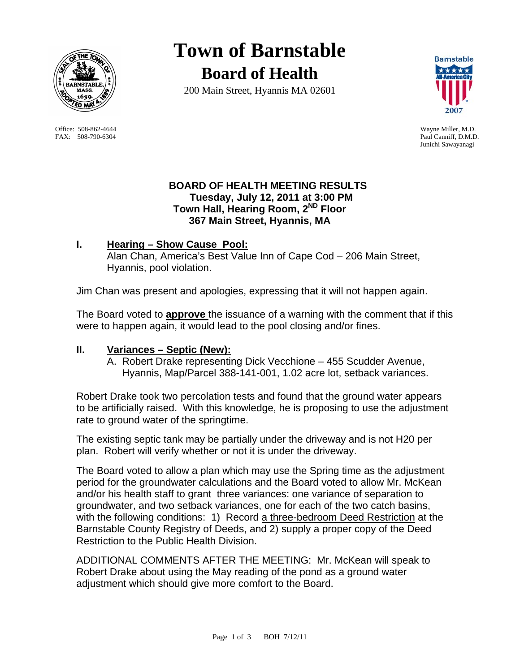

 Office: 508-862-4644 Wayne Miller, M.D. FAX: 508-790-6304 Paul Canniff, D.M.D.

**Town of Barnstable Board of Health**

200 Main Street, Hyannis MA 02601



Junichi Sawayanagi

### **BOARD OF HEALTH MEETING RESULTS Tuesday, July 12, 2011 at 3:00 PM Town Hall, Hearing Room, 2ND Floor 367 Main Street, Hyannis, MA**

# **I. Hearing – Show Cause Pool:**

 Alan Chan, America's Best Value Inn of Cape Cod – 206 Main Street, Hyannis, pool violation.

Jim Chan was present and apologies, expressing that it will not happen again.

The Board voted to **approve** the issuance of a warning with the comment that if this were to happen again, it would lead to the pool closing and/or fines.

## **II. Variances – Septic (New):**

A. Robert Drake representing Dick Vecchione – 455 Scudder Avenue, Hyannis, Map/Parcel 388-141-001, 1.02 acre lot, setback variances.

Robert Drake took two percolation tests and found that the ground water appears to be artificially raised. With this knowledge, he is proposing to use the adjustment rate to ground water of the springtime.

The existing septic tank may be partially under the driveway and is not H20 per plan. Robert will verify whether or not it is under the driveway.

The Board voted to allow a plan which may use the Spring time as the adjustment period for the groundwater calculations and the Board voted to allow Mr. McKean and/or his health staff to grant three variances: one variance of separation to groundwater, and two setback variances, one for each of the two catch basins, with the following conditions: 1) Record a three-bedroom Deed Restriction at the Barnstable County Registry of Deeds, and 2) supply a proper copy of the Deed Restriction to the Public Health Division.

ADDITIONAL COMMENTS AFTER THE MEETING: Mr. McKean will speak to Robert Drake about using the May reading of the pond as a ground water adjustment which should give more comfort to the Board.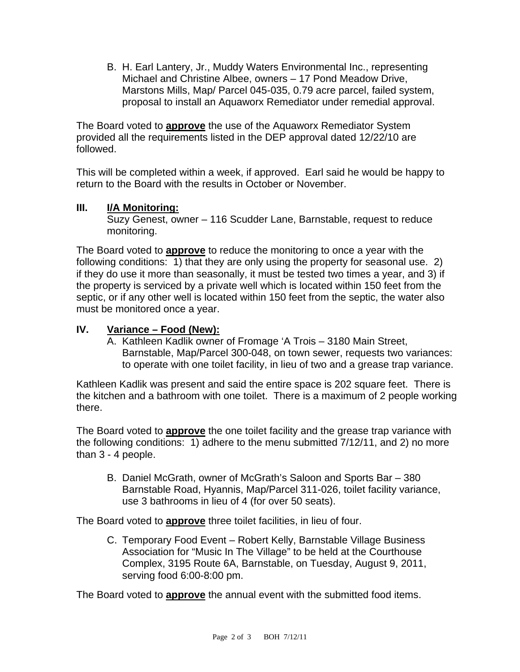B. H. Earl Lantery, Jr., Muddy Waters Environmental Inc., representing Michael and Christine Albee, owners – 17 Pond Meadow Drive, Marstons Mills, Map/ Parcel 045-035, 0.79 acre parcel, failed system, proposal to install an Aquaworx Remediator under remedial approval.

The Board voted to **approve** the use of the Aquaworx Remediator System provided all the requirements listed in the DEP approval dated 12/22/10 are followed.

This will be completed within a week, if approved. Earl said he would be happy to return to the Board with the results in October or November.

## **III. I/A Monitoring:**

Suzy Genest, owner – 116 Scudder Lane, Barnstable, request to reduce monitoring.

The Board voted to **approve** to reduce the monitoring to once a year with the following conditions: 1) that they are only using the property for seasonal use. 2) if they do use it more than seasonally, it must be tested two times a year, and 3) if the property is serviced by a private well which is located within 150 feet from the septic, or if any other well is located within 150 feet from the septic, the water also must be monitored once a year.

# **IV. Variance – Food (New):**

A. Kathleen Kadlik owner of Fromage 'A Trois – 3180 Main Street, Barnstable, Map/Parcel 300-048, on town sewer, requests two variances: to operate with one toilet facility, in lieu of two and a grease trap variance.

Kathleen Kadlik was present and said the entire space is 202 square feet. There is the kitchen and a bathroom with one toilet. There is a maximum of 2 people working there.

The Board voted to **approve** the one toilet facility and the grease trap variance with the following conditions: 1) adhere to the menu submitted 7/12/11, and 2) no more than 3 - 4 people.

B. Daniel McGrath, owner of McGrath's Saloon and Sports Bar – 380 Barnstable Road, Hyannis, Map/Parcel 311-026, toilet facility variance, use 3 bathrooms in lieu of 4 (for over 50 seats).

The Board voted to **approve** three toilet facilities, in lieu of four.

C. Temporary Food Event – Robert Kelly, Barnstable Village Business Association for "Music In The Village" to be held at the Courthouse Complex, 3195 Route 6A, Barnstable, on Tuesday, August 9, 2011, serving food 6:00-8:00 pm.

The Board voted to **approve** the annual event with the submitted food items.